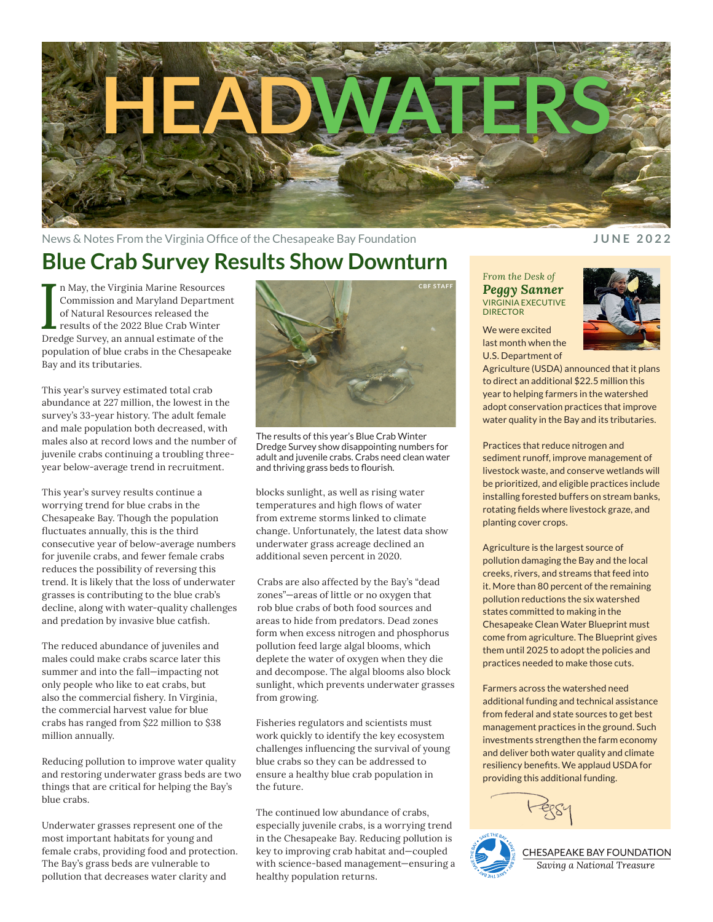

News & Notes From the Virginia Office of the Chesapeake Bay Foundation **JUNE 2022** 

## **Blue Crab Survey Results Show Downturn**

In May, the Virginia Marine Resources<br>
Commission and Maryland Departme<br>
of Natural Resources released the<br>
results of the 2022 Blue Crab Winter<br>
Dredge Survey, an annual estimate of the n May, the Virginia Marine Resources Commission and Maryland Department of Natural Resources released the results of the 2022 Blue Crab Winter population of blue crabs in the Chesapeake Bay and its tributaries.

This year's survey estimated total crab abundance at 227 million, the lowest in the survey's 33-year history. The adult female and male population both decreased, with males also at record lows and the number of juvenile crabs continuing a troubling threeyear below-average trend in recruitment.

This year's survey results continue a worrying trend for blue crabs in the Chesapeake Bay. Though the population fluctuates annually, this is the third consecutive year of below-average numbers for juvenile crabs, and fewer female crabs reduces the possibility of reversing this trend. It is likely that the loss of underwater grasses is contributing to the blue crab's decline, along with water-quality challenges and predation by invasive blue catfish.

The reduced abundance of juveniles and males could make crabs scarce later this summer and into the fall—impacting not only people who like to eat crabs, but also the commercial fishery. In Virginia, the commercial harvest value for blue crabs has ranged from \$22 million to \$38 million annually.

Reducing pollution to improve water quality and restoring underwater grass beds are two things that are critical for helping the Bay's blue crabs.

Underwater grasses represent one of the most important habitats for young and female crabs, providing food and protection. The Bay's grass beds are vulnerable to pollution that decreases water clarity and



The results of this year's Blue Crab Winter Dredge Survey show disappointing numbers for adult and juvenile crabs. Crabs need clean water and thriving grass beds to flourish.

blocks sunlight, as well as rising water temperatures and high flows of water from extreme storms linked to climate change. Unfortunately, the latest data show underwater grass acreage declined an additional seven percent in 2020.

Crabs are also affected by the Bay's "dead zones"—areas of little or no oxygen that rob blue crabs of both food sources and areas to hide from predators. Dead zones form when excess nitrogen and phosphorus pollution feed large algal blooms, which deplete the water of oxygen when they die and decompose. The algal blooms also block sunlight, which prevents underwater grasses from growing.

Fisheries regulators and scientists must work quickly to identify the key ecosystem challenges influencing the survival of young blue crabs so they can be addressed to ensure a healthy blue crab population in the future.

The continued low abundance of crabs, especially juvenile crabs, is a worrying trend in the Chesapeake Bay. Reducing pollution is key to improving crab habitat and—coupled with science-based management—ensuring a healthy population returns.

*From the Desk of Peggy Sanner* VIRGINIA EXECUTIVE **DIRECTOR** 

We were excited last month when the U.S. Department of



Agriculture (USDA) announced that it plans to direct an additional \$22.5 million this year to helping farmers in the watershed adopt conservation practices that improve water quality in the Bay and its tributaries.

Practices that reduce nitrogen and sediment runoff, improve management of livestock waste, and conserve wetlands will be prioritized, and eligible practices include installing forested buffers on stream banks, rotating fields where livestock graze, and planting cover crops.

Agriculture is the largest source of pollution damaging the Bay and the local creeks, rivers, and streams that feed into it. More than 80 percent of the remaining pollution reductions the six watershed states committed to making in the Chesapeake Clean Water Blueprint must come from agriculture. The Blueprint gives them until 2025 to adopt the policies and practices needed to make those cuts.

Farmers across the watershed need additional funding and technical assistance from federal and state sources to get best management practices in the ground. Such investments strengthen the farm economy and deliver both water quality and climate resiliency benefits. We applaud USDA for providing this additional funding.



CHESAPEAKE BAY FOUNDATION Saving a National Treasure